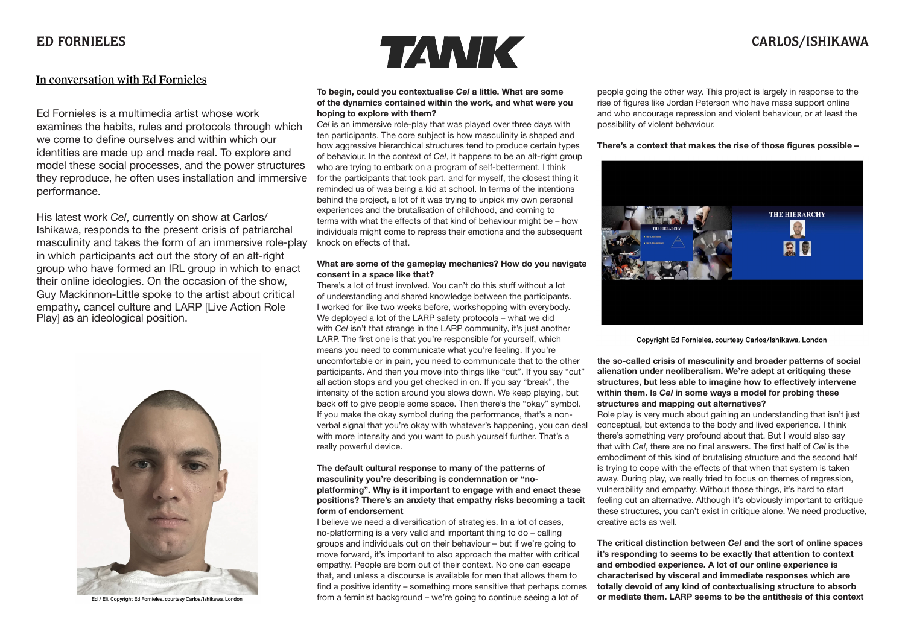## In conversation with Ed Fornieles

Ed Fornieles is a multimedia artist whose work examines the habits, rules and protocols through which we come to define ourselves and within which our identities are made up and made real. To explore and model these social processes, and the power structures they reproduce, he often uses installation and immersive performance.

His latest work *Cel*, currently on show at Carlos/ Ishikawa, responds to the present crisis of patriarchal masculinity and takes the form of an immersive role-play in which participants act out the story of an alt-right group who have formed an IRL group in which to enact their online ideologies. On the occasion of the show, Guy Mackinnon-Little spoke to the artist about critical empathy, cancel culture and LARP [Live Action Role Play] as an ideological position.



Ed / Eli. Copyright Ed Fornieles, courtesy Carlos/Ishikawa, Londor



## **To begin, could you contextualise** *Cel* **a little. What are some of the dynamics contained within the work, and what were you hoping to explore with them?**

*Cel* is an immersive role-play that was played over three days with ten participants. The core subject is how masculinity is shaped and how aggressive hierarchical structures tend to produce certain types of behaviour. In the context of *Cel*, it happens to be an alt-right group who are trying to embark on a program of self-betterment. I think for the participants that took part, and for myself, the closest thing it reminded us of was being a kid at school. In terms of the intentions behind the project, a lot of it was trying to unpick my own personal experiences and the brutalisation of childhood, and coming to terms with what the effects of that kind of behaviour might be – how individuals might come to repress their emotions and the subsequent knock on effects of that.

## **What are some of the gameplay mechanics? How do you navigate consent in a space like that?**

There's a lot of trust involved. You can't do this stuff without a lot of understanding and shared knowledge between the participants. I worked for like two weeks before, workshopping with everybody. We deployed a lot of the LARP safety protocols – what we did with *Cel* isn't that strange in the LARP community, it's just another LARP. The first one is that you're responsible for yourself, which means you need to communicate what you're feeling. If you're uncomfortable or in pain, you need to communicate that to the other participants. And then you move into things like "cut". If you say "cut" all action stops and you get checked in on. If you say "break", the intensity of the action around you slows down. We keep playing, but back off to give people some space. Then there's the "okay" symbol. If you make the okay symbol during the performance, that's a nonverbal signal that you're okay with whatever's happening, you can deal with more intensity and you want to push yourself further. That's a really powerful device.

## **The default cultural response to many of the patterns of masculinity you're describing is condemnation or "noplatforming". Why is it important to engage with and enact these positions? There's an anxiety that empathy risks becoming a tacit form of endorsement**

I believe we need a diversification of strategies. In a lot of cases, no-platforming is a very valid and important thing to do – calling groups and individuals out on their behaviour – but if we're going to move forward, it's important to also approach the matter with critical empathy. People are born out of their context. No one can escape that, and unless a discourse is available for men that allows them to find a positive identity – something more sensitive that perhaps comes from a feminist background – we're going to continue seeing a lot of

people going the other way. This project is largely in response to the rise of figures like Jordan Peterson who have mass support online and who encourage repression and violent behaviour, or at least the possibility of violent behaviour.

## **There's a context that makes the rise of those figures possible –**



Copyright Ed Fornieles, courtesy Carlos/Ishikawa, London

**the so-called crisis of masculinity and broader patterns of social alienation under neoliberalism. We're adept at critiquing these structures, but less able to imagine how to effectively intervene within them. Is** *Cel* **in some ways a model for probing these structures and mapping out alternatives?**

Role play is very much about gaining an understanding that isn't just conceptual, but extends to the body and lived experience. I think there's something very profound about that. But I would also say that with *Cel*, there are no final answers. The first half of *Cel* is the embodiment of this kind of brutalising structure and the second half is trying to cope with the effects of that when that system is taken away. During play, we really tried to focus on themes of regression, vulnerability and empathy. Without those things, it's hard to start feeling out an alternative. Although it's obviously important to critique these structures, you can't exist in critique alone. We need productive, creative acts as well.

**The critical distinction between** *Cel* **and the sort of online spaces it's responding to seems to be exactly that attention to context and embodied experience. A lot of our online experience is characterised by visceral and immediate responses which are totally devoid of any kind of contextualising structure to absorb or mediate them. LARP seems to be the antithesis of this context**